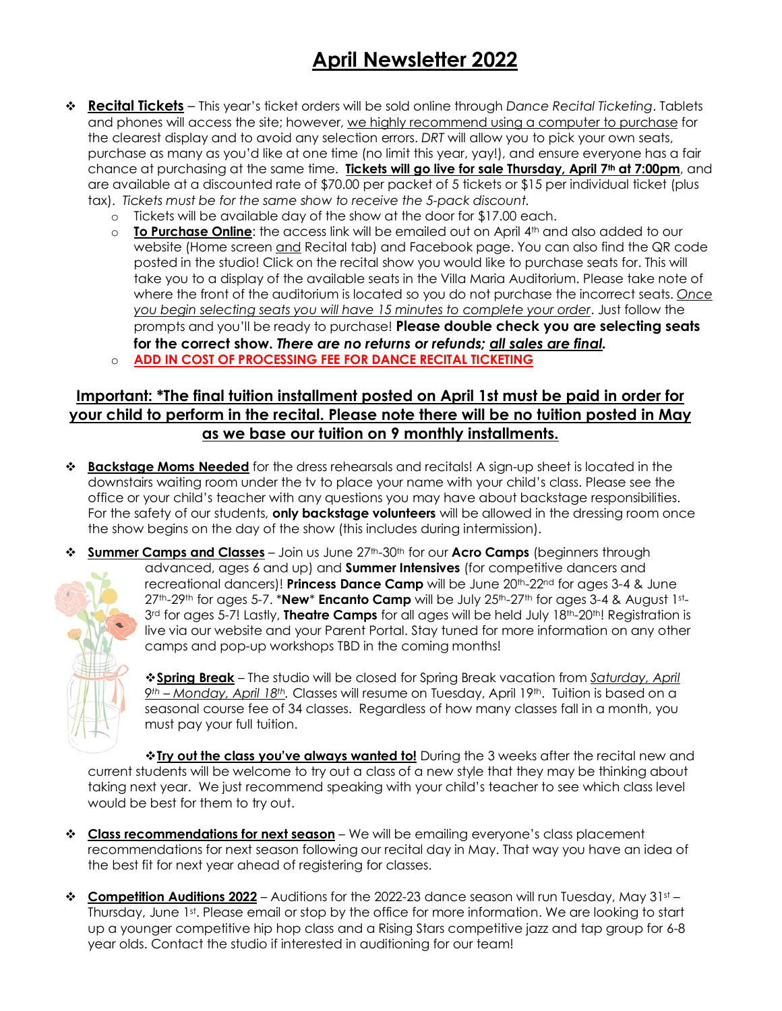# **April Newsletter 2022**

- v **Recital Tickets** This year's ticket orders will be sold online through *Dance Recital Ticketing*. Tablets and phones will access the site; however, we highly recommend using a computer to purchase for the clearest display and to avoid any selection errors. *DRT* will allow you to pick your own seats, purchase as many as you'd like at one time (no limit this year, yay!), and ensure everyone has a fair chance at purchasing at the same time. **Tickets will go live for sale Thursday, April 7<sup>th</sup> at 7:00pm**, and are available at a discounted rate of \$70.00 per packet of 5 tickets or \$15 per individual ticket (plus tax). *Tickets must be for the same show to receive the 5-pack discount.*
	- o Tickets will be available day of the show at the door for \$17.00 each.
	- o **To Purchase Online**: the access link will be emailed out on April 4th and also added to our website (Home screen and Recital tab) and Facebook page. You can also find the QR code posted in the studio! Click on the recital show you would like to purchase seats for. This will take you to a display of the available seats in the Villa Maria Auditorium. Please take note of where the front of the auditorium is located so you do not purchase the incorrect seats. *Once you begin selecting seats you will have 15 minutes to complete your order*. Just follow the prompts and you'll be ready to purchase! **Please double check you are selecting seats for the correct show.** *There are no returns or refunds; all sales are final.* o **ADD IN COST OF PROCESSING FEE FOR DANCE RECITAL TICKETING**

### **Important: \*The final tuition installment posted on April 1st must be paid in order for your child to perform in the recital. Please note there will be no tuition posted in May as we base our tuition on 9 monthly installments.**

- v **Backstage Moms Needed** for the dress rehearsals and recitals! A sign-up sheet is located in the downstairs waiting room under the tv to place your name with your child's class. Please see the office or your child's teacher with any questions you may have about backstage responsibilities. For the safety of our students, **only backstage volunteers** will be allowed in the dressing room once the show begins on the day of the show (this includes during intermission).
- **Summer Camps and Classes** Join us June 27<sup>th</sup>-30<sup>th</sup> for our **Acro Camps** (beginners through advanced, ages 6 and up) and **Summer Intensives** (for competitive dancers and recreational dancers)! **Princess Dance Camp** will be June 20th-22nd for ages 3-4 & June 27th-29th for ages 5-7. \***New**\* **Encanto Camp** will be July 25th-27th for ages 3-4 & August 1st-3rd for ages 5-7! Lastly, **Theatre Camps** for all ages will be held July 18<sup>th</sup>-20<sup>th</sup>! Registration is live via our website and your Parent Portal. Stay tuned for more information on any other camps and pop-up workshops TBD in the coming months!

v**Spring Break** – The studio will be closed for Spring Break vacation from *Saturday, April 9th – Monday, April 18th.* Classes will resume on Tuesday, April 19th. Tuition is based on a seasonal course fee of 34 classes. Regardless of how many classes fall in a month, you must pay your full tuition.

\***Iry out the class you've always wanted to!** During the 3 weeks after the recital new and current students will be welcome to try out a class of a new style that they may be thinking about taking next year. We just recommend speaking with your child's teacher to see which class level would be best for them to try out.

- **<sup>❖</sup> Class recommendations for next season** We will be emailing everyone's class placement recommendations for next season following our recital day in May. That way you have an idea of the best fit for next year ahead of registering for classes.
- **Eompetition Auditions 2022** Auditions for the 2022-23 dance season will run Tuesday, May 31st Thursday, June 1st. Please email or stop by the office for more information. We are looking to start up a younger competitive hip hop class and a Rising Stars competitive jazz and tap group for 6-8 year olds. Contact the studio if interested in auditioning for our team!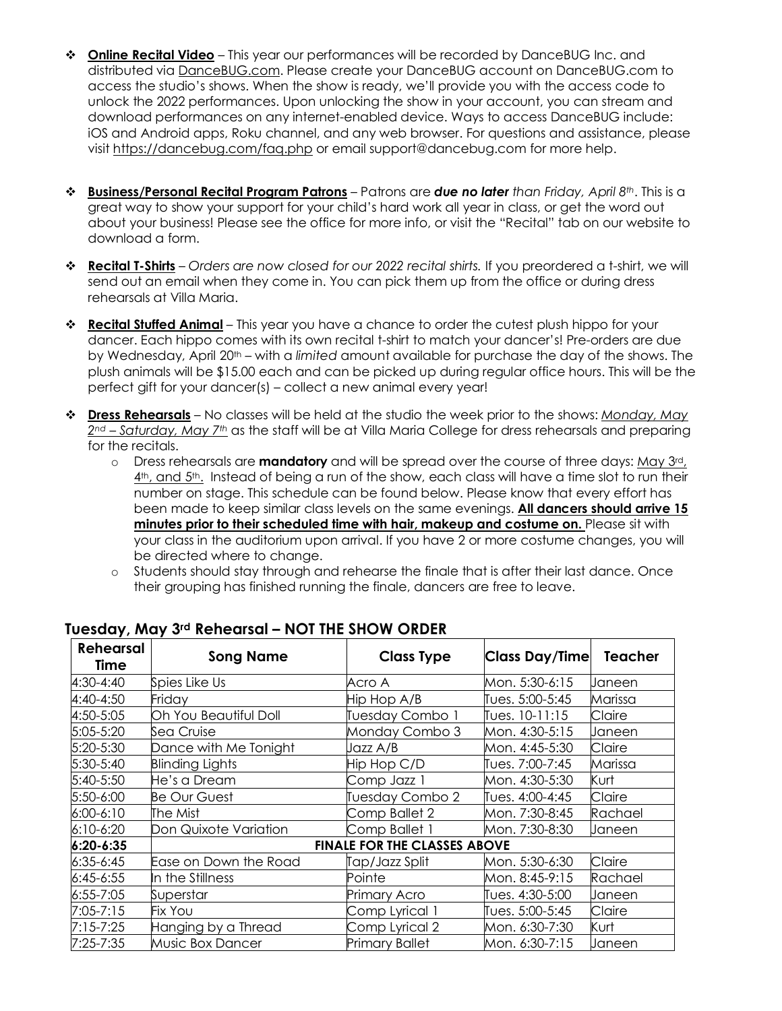- **<sup>❖</sup> Online Recital Video** This year our performances will be recorded by DanceBUG Inc. and distributed via DanceBUG.com. Please create your DanceBUG account on DanceBUG.com to access the studio's shows. When the show is ready, we'll provide you with the access code to unlock the 2022 performances. Upon unlocking the show in your account, you can stream and download performances on any internet-enabled device. Ways to access DanceBUG include: iOS and Android apps, Roku channel, and any web browser. For questions and assistance, please visit https://dancebug.com/faq.php or email support@dancebug.com for more help.
- v **Business/Personal Recital Program Patrons** Patrons are *due no later than Friday, April 8th*. This is a great way to show your support for your child's hard work all year in class, or get the word out about your business! Please see the office for more info, or visit the "Recital" tab on our website to download a form.
- v **Recital T-Shirts** *Orders are now closed for our 2022 recital shirts.* If you preordered a t-shirt, we will send out an email when they come in. You can pick them up from the office or during dress rehearsals at Villa Maria.
- **\* Recital Stuffed Animal** This year you have a chance to order the cutest plush hippo for your dancer. Each hippo comes with its own recital t-shirt to match your dancer's! Pre-orders are due by Wednesday, April 20th – with a *limited* amount available for purchase the day of the shows. The plush animals will be \$15.00 each and can be picked up during regular office hours. This will be the perfect gift for your dancer(s) – collect a new animal every year!
- v **Dress Rehearsals** No classes will be held at the studio the week prior to the shows: *Monday, May 2nd – Saturday, May 7th* as the staff will be at Villa Maria College for dress rehearsals and preparing for the recitals.
	- o Dress rehearsals are **mandatory** and will be spread over the course of three days: May 3rd, 4<sup>th</sup>, and 5<sup>th</sup>. Instead of being a run of the show, each class will have a time slot to run their number on stage. This schedule can be found below. Please know that every effort has been made to keep similar class levels on the same evenings. **All dancers should arrive 15 minutes prior to their scheduled time with hair, makeup and costume on.** Please sit with your class in the auditorium upon arrival. If you have 2 or more costume changes, you will be directed where to change.
	- o Students should stay through and rehearse the finale that is after their last dance. Once their grouping has finished running the finale, dancers are free to leave.

| <b>Rehearsal</b><br>Time | <b>Song Name</b>                    | <b>Class Type</b>     | <b>Class Day/Time</b> | <b>Teacher</b> |
|--------------------------|-------------------------------------|-----------------------|-----------------------|----------------|
| 4:30-4:40                | Spies Like Us                       | Acro A                | Mon. 5:30-6:15        | Janeen         |
| 4:40-4:50                | Friday                              | Hip Hop A/B           | Tues. 5:00-5:45       | Marissa        |
| 4:50-5:05                | Oh You Beautiful Doll               | Tuesday Combo 1       | Tues. 10-11:15        | Claire         |
| 5:05-5:20                | Sea Cruise                          | Monday Combo 3        | Mon. 4:30-5:15        | Janeen         |
| 5:20-5:30                | Dance with Me Tonight               | Jazz A/B              | Mon. 4:45-5:30        | Claire         |
| 5:30-5:40                | Blinding Lights                     | Hip Hop C/D           | Tues. 7:00-7:45       | Marissa        |
| 5:40-5:50                | He's a Dream                        | Comp Jazz 1           | Mon. 4:30-5:30        | Kurt           |
| 5:50-6:00                | <b>Be Our Guest</b>                 | Tuesday Combo 2       | Tues. 4:00-4:45       | Claire         |
| $6:00 - 6:10$            | The Mist                            | Comp Ballet 2         | Mon. 7:30-8:45        | Rachael        |
| $6:10 - 6:20$            | Don Quixote Variation               | Comp Ballet 1         | Mon. 7:30-8:30        | Janeen         |
| $6:20 - 6:35$            | <b>FINALE FOR THE CLASSES ABOVE</b> |                       |                       |                |
| $6:35-6:45$              | Ease on Down the Road               | Tap/Jazz Split        | Mon. 5:30-6:30        | Claire         |
| $6:45-6:55$              | In the Stillness                    | Pointe                | Mon. 8:45-9:15        | Rachael        |
| $6:55 - 7:05$            | Superstar                           | <b>Primary Acro</b>   | Tues. 4:30-5:00       | Janeen         |
| 7:05-7:15                | Fix You                             | Comp Lyrical 1        | Tues. 5:00-5:45       | Claire         |
| 7:15-7:25                | Hanging by a Thread                 | Comp Lyrical 2        | Mon. 6:30-7:30        | Kurt           |
| 7:25-7:35                | <b>Music Box Dancer</b>             | <b>Primary Ballet</b> | Mon. 6:30-7:15        | Janeen         |

#### **Tuesday, May 3rd Rehearsal – NOT THE SHOW ORDER**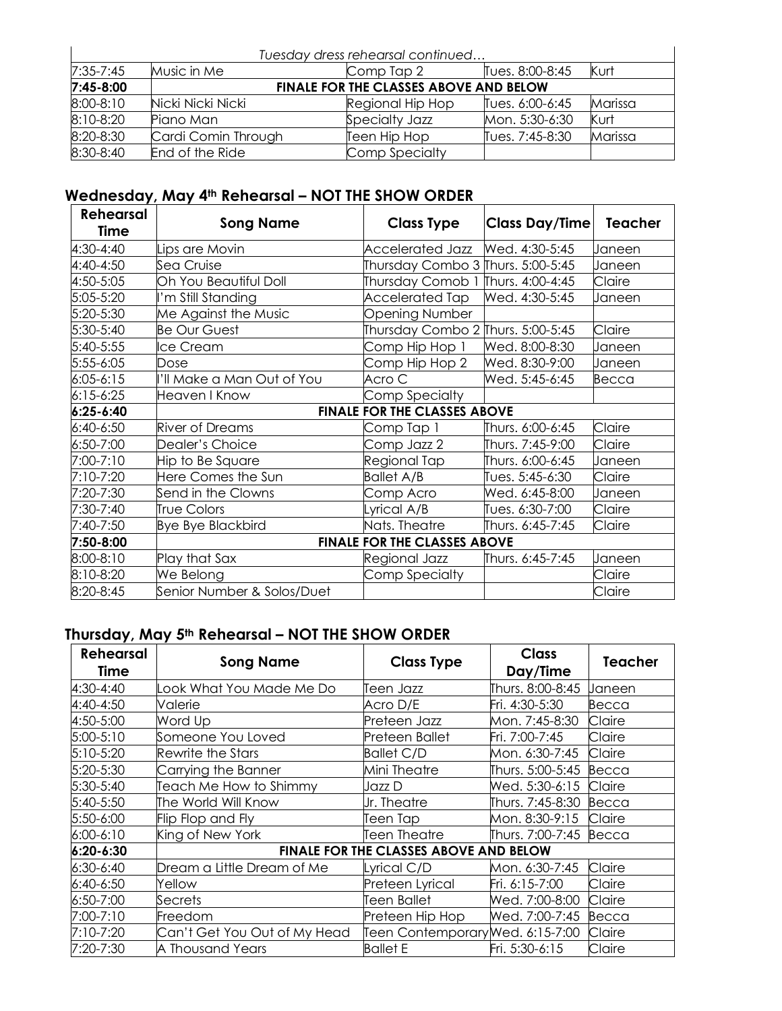| Tuesday dress rehearsal continued |                                        |                  |                 |         |
|-----------------------------------|----------------------------------------|------------------|-----------------|---------|
| $7:35 - 7:45$                     | Music in Me                            | Comp Tap 2       | Tues. 8:00-8:45 | Kurt    |
| $7:45 - 8:00$                     | FINALE FOR THE CLASSES ABOVE AND BELOW |                  |                 |         |
| 8:00-8:10                         | Nicki Nicki Nicki                      | Regional Hip Hop | Tues. 6:00-6:45 | Marissa |
| 8:10-8:20                         | Piano Man                              | Specialty Jazz   | Mon. 5:30-6:30  | Kurt    |
| 8:20-8:30                         | Cardi Comin Through                    | Teen Hip Hop     | Tues. 7:45-8:30 | Marissa |
| 8:30-8:40                         | End of the Ride                        | Comp Specialty   |                 |         |

# **Wednesday, May 4th Rehearsal – NOT THE SHOW ORDER**

| <b>Rehearsal</b><br>Time | <b>Song Name</b>                    | <b>Class Type</b>                 | <b>Class Day/Time</b> | <b>Teacher</b> |
|--------------------------|-------------------------------------|-----------------------------------|-----------------------|----------------|
| 4:30-4:40                | Lips are Movin                      | <b>Accelerated Jazz</b>           | Wed. 4:30-5:45        | Janeen         |
| 4:40-4:50                | Sea Cruise                          | Thursday Combo 3 Thurs. 5:00-5:45 |                       | Janeen         |
| 4:50-5:05                | Oh You Beautiful Doll               | Thursday Comob                    | Thurs. 4:00-4:45      | Claire         |
| 5:05-5:20                | 'm Still Standing                   | Accelerated Tap                   | Wed. 4:30-5:45        | Janeen         |
| 5:20-5:30                | Me Against the Music                | <b>Opening Number</b>             |                       |                |
| 5:30-5:40                | <b>Be Our Guest</b>                 | Thursday Combo 2 Thurs. 5:00-5:45 |                       | Claire         |
| 5:40-5:55                | ce Cream                            | Comp Hip Hop 1                    | Wed. 8:00-8:30        | Janeen         |
| 5:55-6:05                | Dose                                | Comp Hip Hop 2                    | Wed. 8:30-9:00        | Janeen         |
| $6:05 - 6:15$            | 'Il Make a Man Out of You           | Acro C                            | Wed. 5:45-6:45        | Becca          |
| $6:15-6:25$              | Heaven I Know                       | Comp Specialty                    |                       |                |
| 6:25-6:40                | <b>FINALE FOR THE CLASSES ABOVE</b> |                                   |                       |                |
| 6:40-6:50                | <b>River of Dreams</b>              | Comp Tap 1                        | Thurs. 6:00-6:45      | Claire         |
| 6:50-7:00                | Dealer's Choice                     | Comp Jazz 2                       | Thurs. 7:45-9:00      | Claire         |
| 7:00-7:10                | Hip to Be Square                    | Regional Tap                      | Thurs. 6:00-6:45      | Janeen         |
| 7:10-7:20                | Here Comes the Sun                  | <b>Ballet A/B</b>                 | Tues. 5:45-6:30       | Claire         |
| 7:20-7:30                | Send in the Clowns                  | Comp Acro                         | Wed. 6:45-8:00        | Janeen         |
| 7:30-7:40                | <b>True Colors</b>                  | yrical A/B                        | Tues. 6:30-7:00       | Claire         |
| 7:40-7:50                | <b>Bye Bye Blackbird</b>            | Nats. Theatre                     | Thurs. 6:45-7:45      | Claire         |
| 7:50-8:00                | <b>FINALE FOR THE CLASSES ABOVE</b> |                                   |                       |                |
| 8:00-8:10                | Play that Sax                       | Regional Jazz                     | Thurs. 6:45-7:45      | Janeen         |
| 8:10-8:20                | We Belong                           | Comp Specialty                    |                       | Claire         |
| 8:20-8:45                | Senior Number & Solos/Duet          |                                   |                       | Claire         |

# **Thursday, May 5th Rehearsal – NOT THE SHOW ORDER**

| <b>Rehearsal</b><br>Time | <b>Song Name</b>                       | <b>Class Type</b>               | <b>Class</b><br>Day/Time | <b>Teacher</b> |
|--------------------------|----------------------------------------|---------------------------------|--------------------------|----------------|
| $4:30 - 4:40$            | ook What You Made Me Do                | Teen Jazz                       | Thurs. 8:00-8:45         | Janeen         |
| 4:40-4:50                | Valerie                                | Acro D/E                        | Fri. 4:30-5:30           | Becca          |
| 4:50-5:00                | Word Up                                | Preteen Jazz                    | Mon. 7:45-8:30           | Claire         |
| 5:00-5:10                | Someone You Loved                      | Preteen Ballet                  | Fri. 7:00-7:45           | Claire         |
| $5:10-5:20$              | Rewrite the Stars                      | <b>Ballet C/D</b>               | Mon. 6:30-7:45           | Claire         |
| 5:20-5:30                | Carrying the Banner                    | Mini Theatre                    | Thurs. 5:00-5:45         | Becca          |
| $5:30-5:40$              | Teach Me How to Shimmy                 | Jazz D                          | Wed. 5:30-6:15           | Claire         |
| 5:40-5:50                | The World Will Know                    | Ur. Theatre                     | Thurs. 7:45-8:30         | Becca          |
| 5:50-6:00                | Flip Flop and Fly                      | Teen Tap                        | Mon. 8:30-9:15           | Claire         |
| $6:00-6:10$              | King of New York                       | Teen Theatre                    | Thurs. 7:00-7:45         | Becca          |
| $6:20 - 6:30$            | FINALE FOR THE CLASSES ABOVE AND BELOW |                                 |                          |                |
| $6:30-6:40$              | Dream a Little Dream of Me             | Lyrical C/D                     | Mon. 6:30-7:45           | Claire         |
| $6:40-6:50$              | Yellow                                 | Preteen Lyrical                 | Fri. 6:15-7:00           | Claire         |
| 6:50-7:00                | Secrets                                | <b>Teen Ballet</b>              | Wed. 7:00-8:00           | Claire         |
| 7:00-7:10                | Freedom                                | Preteen Hip Hop                 | Wed. 7:00-7:45           | Becca          |
| 7:10-7:20                | Can't Get You Out of My Head           | Teen ContemporaryWed. 6:15-7:00 |                          | Claire         |
| 7:20-7:30                | A Thousand Years                       | <b>Ballet E</b>                 | Fri. 5:30-6:15           | Claire         |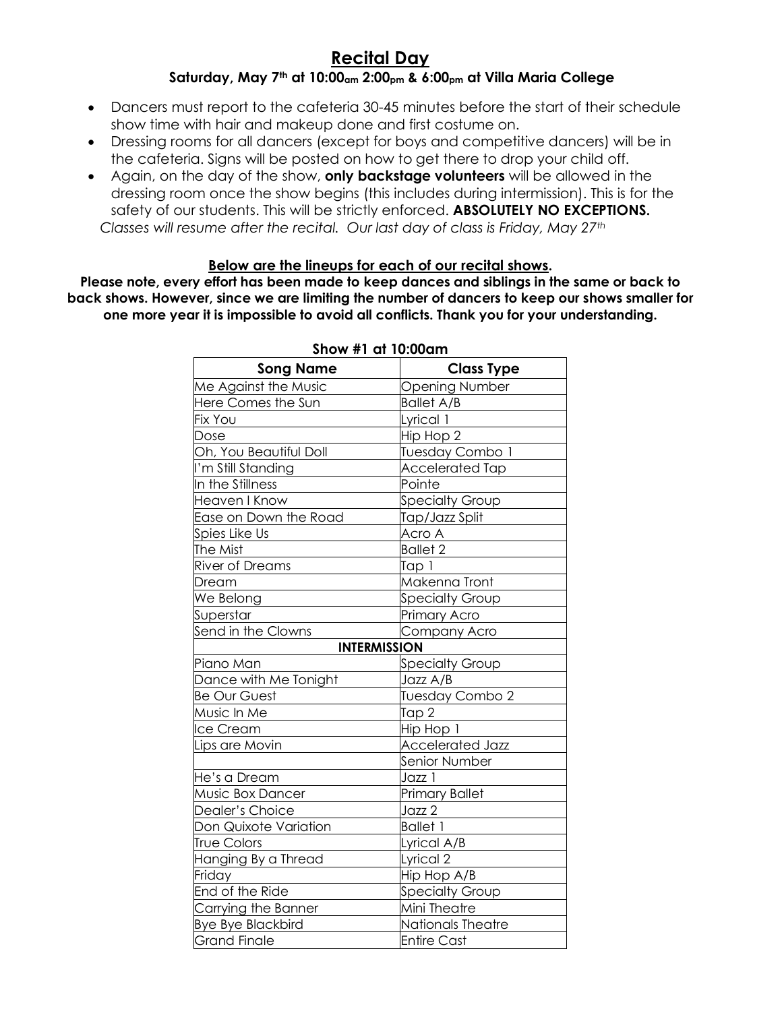#### **Recital Day Saturday, May 7th at 10:00am 2:00pm & 6:00pm at Villa Maria College**

- Dancers must report to the cafeteria 30-45 minutes before the start of their schedule show time with hair and makeup done and first costume on.
- Dressing rooms for all dancers (except for boys and competitive dancers) will be in the cafeteria. Signs will be posted on how to get there to drop your child off.
- Again, on the day of the show, **only backstage volunteers** will be allowed in the dressing room once the show begins (this includes during intermission). This is for the safety of our students. This will be strictly enforced. **ABSOLUTELY NO EXCEPTIONS.** *Classes will resume after the recital. Our last day of class is Friday, May 27th*

#### **Below are the lineups for each of our recital shows.**

**Please note, every effort has been made to keep dances and siblings in the same or back to back shows. However, since we are limiting the number of dancers to keep our shows smaller for one more year it is impossible to avoid all conflicts. Thank you for your understanding.**

| <b>Song Name</b>         | <b>Class Type</b>       |  |  |
|--------------------------|-------------------------|--|--|
| Me Against the Music     | <b>Opening Number</b>   |  |  |
| Here Comes the Sun       | <b>Ballet A/B</b>       |  |  |
| Fix You                  | Lyrical 1               |  |  |
| Dose                     | Hip Hop 2               |  |  |
| Oh, You Beautiful Doll   | Tuesday Combo 1         |  |  |
| I'm Still Standing       | <b>Accelerated Tap</b>  |  |  |
| In the Stillness         | Pointe                  |  |  |
| Heaven I Know            | <b>Specialty Group</b>  |  |  |
| Ease on Down the Road    | Tap/Jazz Split          |  |  |
| Spies Like Us            | Acro A                  |  |  |
| The Mist                 | <b>Ballet 2</b>         |  |  |
| River of Dreams          | Tap 1                   |  |  |
| Dream                    | Makenna Tront           |  |  |
| We Belong                | <b>Specialty Group</b>  |  |  |
| Superstar                | Primary Acro            |  |  |
| Send in the Clowns       | Company Acro            |  |  |
|                          | <b>INTERMISSION</b>     |  |  |
| Piano Man                | <b>Specialty Group</b>  |  |  |
| Dance with Me Tonight    | Jazz A/B                |  |  |
| <b>Be Our Guest</b>      | Tuesday Combo 2         |  |  |
| Music In Me              | Tap 2                   |  |  |
| lce Cream                | Hip Hop 1               |  |  |
| Lips are Movin           | <b>Accelerated Jazz</b> |  |  |
|                          | Senior Number           |  |  |
| He's a Dream             | Jazz 1                  |  |  |
| Music Box Dancer         | <b>Primary Ballet</b>   |  |  |
| Dealer's Choice          | Jazz 2                  |  |  |
| Don Quixote Variation    | <b>Ballet 1</b>         |  |  |
| <b>True Colors</b>       | Lyrical A/B             |  |  |
| Hanging By a Thread      | Lyrical 2               |  |  |
| Friday                   | Hip Hop A/B             |  |  |
| End of the Ride          | <b>Specialty Group</b>  |  |  |
| Carrying the Banner      | Mini Theatre            |  |  |
| <b>Bye Bye Blackbird</b> | Nationals Theatre       |  |  |
| <b>Grand Finale</b>      | <b>Entire Cast</b>      |  |  |

#### **Show #1 at 10:00am**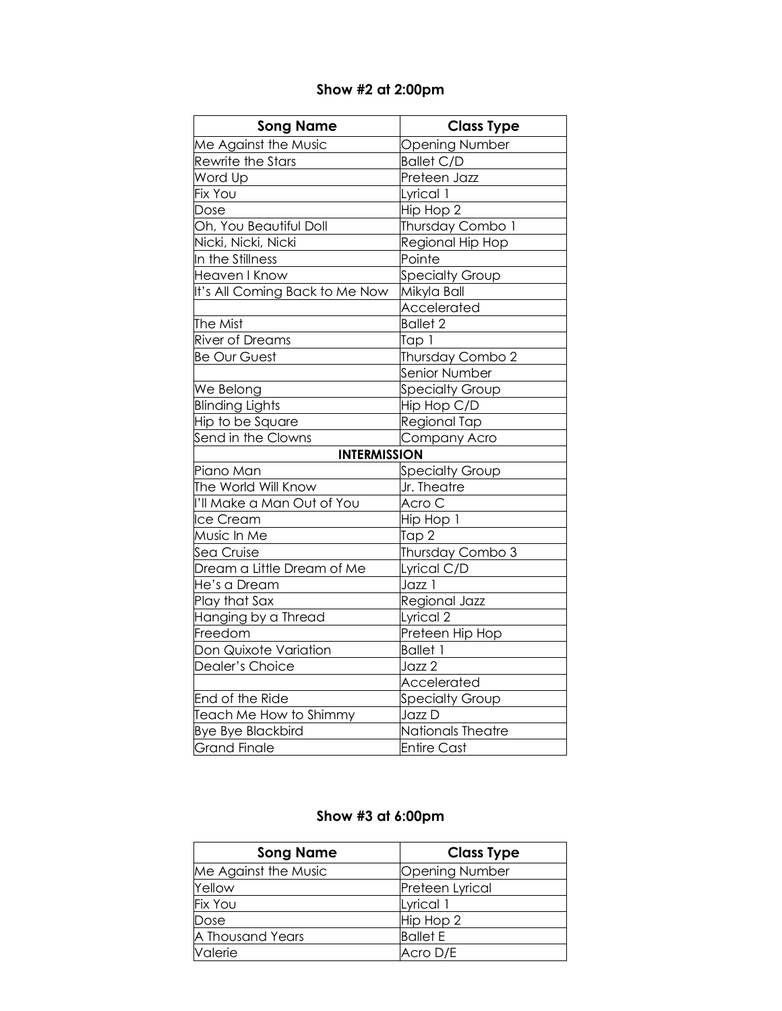### **Show #2 at 2:00pm**

| <b>Song Name</b>               | <b>Class Type</b>      |
|--------------------------------|------------------------|
| Me Against the Music           | <b>Opening Number</b>  |
| Rewrite the Stars              | <b>Ballet C/D</b>      |
| Word Up                        | Preteen Jazz           |
| Fix You                        | Lyrical 1              |
| Dose                           | Hip Hop 2              |
| Oh, You Beautiful Doll         | Thursday Combo 1       |
| Nicki, Nicki, Nicki            | Regional Hip Hop       |
| In the Stillness               | Pointe                 |
| Heaven I Know                  | <b>Specialty Group</b> |
| It's All Coming Back to Me Now | Mikyla Ball            |
|                                | Accelerated            |
| The Mist                       | <b>Ballet 2</b>        |
| <b>River of Dreams</b>         | Tap 1                  |
| <b>Be Our Guest</b>            | Thursday Combo 2       |
|                                | Senior Number          |
| We Belong                      | Specialty Group        |
| <b>Blinding Lights</b>         | Hip Hop C/D            |
| Hip to be Square               | Regional Tap           |
| Send in the Clowns             | Company Acro           |
| <b>INTERMISSION</b>            |                        |
| Piano Man                      | <b>Specialty Group</b> |
| The World Will Know            | Jr. Theatre            |
| I'll Make a Man Out of You     | Acro C                 |
| Ice Cream                      | Hip Hop 1              |
| Music In Me                    | Tap 2                  |
| Sea Cruise                     | Thursday Combo 3       |
| Dream a Little Dream of Me     | Lyrical C/D            |
| He's a Dream                   | Jazz 1                 |
| Play that Sax                  | Regional Jazz          |
| Hanging by a Thread            | Lyrical 2              |
| Freedom                        | Preteen Hip Hop        |
| Don Quixote Variation          | <b>Ballet 1</b>        |
| Dealer's Choice                | Jazz 2                 |
|                                | Accelerated            |
| End of the Ride                | <b>Specialty Group</b> |
| Teach Me How to Shimmy         | Jazz D                 |
| <b>Bye Bye Blackbird</b>       | Nationals Theatre      |
| <b>Grand Finale</b>            | <b>Entire Cast</b>     |

### **Show #3 at 6:00pm**

| <b>Song Name</b>     | <b>Class Type</b>     |
|----------------------|-----------------------|
| Me Against the Music | <b>Opening Number</b> |
| Yellow               | Preteen Lyrical       |
| <b>Fix You</b>       | Lyrical 1             |
| Dose                 | Hip Hop 2             |
| A Thousand Years     | <b>Ballet E</b>       |
| Valerie              | Acro D/E              |